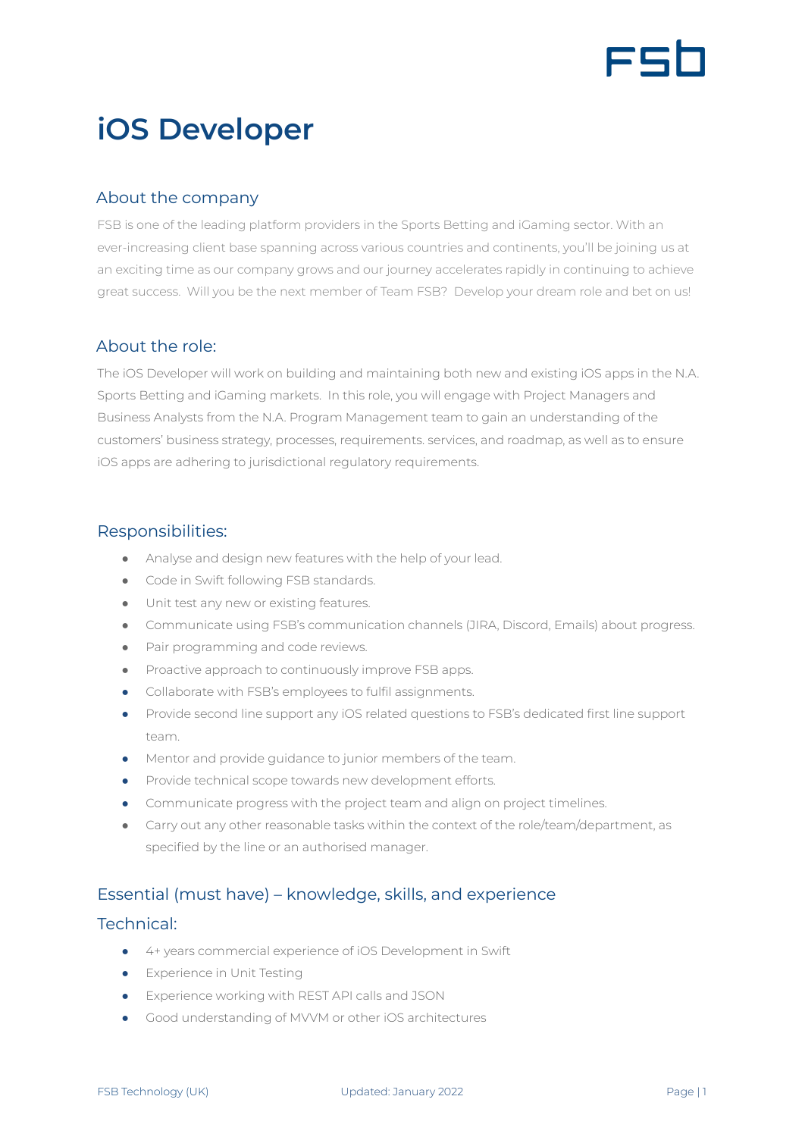

# **iOS Developer**

## About the company

FSB is one of the leading platform providers in the Sports Betting and iGaming sector. With an ever-increasing client base spanning across various countries and continents, you'll be joining us at an exciting time as our company grows and our journey accelerates rapidly in continuing to achieve great success. Will you be the next member of Team FSB? Develop your dream role and bet on us!

# About the role:

The iOS Developer will work on building and maintaining both new and existing iOS apps in the N.A. Sports Betting and iGaming markets. In this role, you will engage with Project Managers and Business Analysts from the N.A. Program Management team to gain an understanding of the customers' business strategy, processes, requirements. services, and roadmap, as well as to ensure iOS apps are adhering to jurisdictional regulatory requirements.

#### Responsibilities:

- Analyse and design new features with the help of your lead.
- Code in Swift following FSB standards.
- Unit test any new or existing features.
- Communicate using FSB's communication channels (JIRA, Discord, Emails) about progress.
- Pair programming and code reviews.
- Proactive approach to continuously improve FSB apps.
- Collaborate with FSB's employees to fulfil assignments.
- Provide second line support any iOS related questions to FSB's dedicated first line support team.
- Mentor and provide quidance to junior members of the team.
- Provide technical scope towards new development efforts.
- Communicate progress with the project team and align on project timelines.
- Carry out any other reasonable tasks within the context of the role/team/department, as specified by the line or an authorised manager.

### Essential (must have) – knowledge, skills, and experience

#### Technical:

- 4+ years commercial experience of iOS Development in Swift
- **•** Experience in Unit Testing
- Experience working with REST API calls and JSON
- Good understanding of MVVM or other iOS architectures